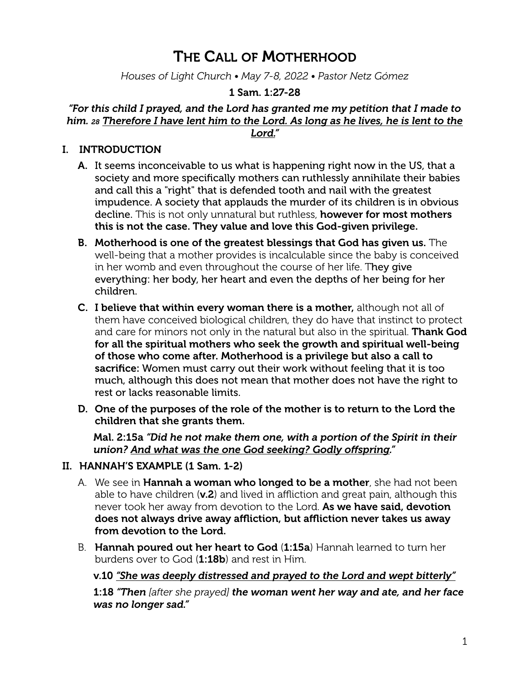# THE CALL OF MOTHERHOOD

*Houses of Light Church • May 7-8, 2022 • Pastor Netz Gómez*

# 1 Sam. 1:27-28

# *"For this child I prayed, and the Lord has granted me my petition that I made to him. 28 Therefore I have lent him to the Lord. As long as he lives, he is lent to the*

*Lord."*

#### I. INTRODUCTION

- A. It seems inconceivable to us what is happening right now in the US, that a society and more specifically mothers can ruthlessly annihilate their babies and call this a "right" that is defended tooth and nail with the greatest impudence. A society that applauds the murder of its children is in obvious decline. This is not only unnatural but ruthless, however for most mothers this is not the case. They value and love this God-given privilege.
- B. Motherhood is one of the greatest blessings that God has given us. The well-being that a mother provides is incalculable since the baby is conceived in her womb and even throughout the course of her life. They give everything: her body, her heart and even the depths of her being for her children.
- C. I believe that within every woman there is a mother, although not all of them have conceived biological children, they do have that instinct to protect and care for minors not only in the natural but also in the spiritual. Thank God for all the spiritual mothers who seek the growth and spiritual well-being of those who come after. Motherhood is a privilege but also a call to sacrifice: Women must carry out their work without feeling that it is too much, although this does not mean that mother does not have the right to rest or lacks reasonable limits.
- D. One of the purposes of the role of the mother is to return to the Lord the children that she grants them.

Mal. 2:15a *"Did he not make them one, with a portion of the Spirit in their union? And what was the one God seeking? Godly offspring."*

## II. HANNAH'S EXAMPLE (1 Sam. 1-2)

- A. We see in **Hannah a woman who longed to be a mother**, she had not been able to have children  $(v.2)$  and lived in affliction and great pain, although this never took her away from devotion to the Lord. As we have said, devotion does not always drive away affliction, but affliction never takes us away from devotion to the Lord.
- B. Hannah poured out her heart to God (1:15a) Hannah learned to turn her burdens over to God  $(1:18b)$  and rest in Him.

## v.10 *"She was deeply distressed and prayed to the Lord and wept bitterly"*

1:18 *"Then [after she prayed] the woman went her way and ate, and her face was no longer sad."*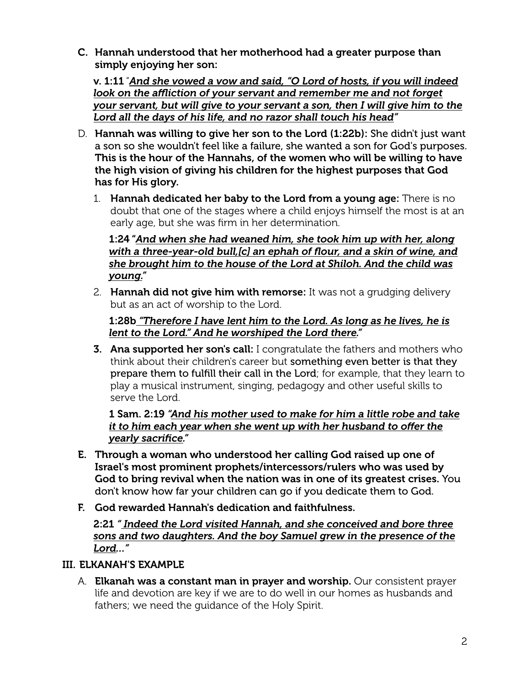C. Hannah understood that her motherhood had a greater purpose than simply enjoying her son:

v. 1:11 "*And she vowed a vow and said, "O Lord of hosts, if you will indeed look on the affliction of your servant and remember me and not forget your servant, but will give to your servant a son, then I will give him to the Lord all the days of his life, and no razor shall touch his head"*

- D. Hannah was willing to give her son to the Lord (1:22b): She didn't just want a son so she wouldn't feel like a failure, she wanted a son for God's purposes. This is the hour of the Hannahs, of the women who will be willing to have the high vision of giving his children for the highest purposes that God has for His glory.
	- 1. Hannah dedicated her baby to the Lord from a young age: There is no doubt that one of the stages where a child enjoys himself the most is at an early age, but she was firm in her determination.

1:24 "*And when she had weaned him, she took him up with her, along with a three-year-old bull,[c] an ephah of flour, and a skin of wine, and she brought him to the house of the Lord at Shiloh. And the child was young."*

2. Hannah did not give him with remorse: It was not a grudging delivery but as an act of worship to the Lord.

# 1:28b *"Therefore I have lent him to the Lord. As long as he lives, he is lent to the Lord." And he worshiped the Lord there."*

**3. Ana supported her son's call:** I congratulate the fathers and mothers who think about their children's career but something even better is that they prepare them to fulfill their call in the Lord; for example, that they learn to play a musical instrument, singing, pedagogy and other useful skills to serve the Lord.

1 Sam. 2:19 *"And his mother used to make for him a little robe and take it to him each year when she went up with her husband to offer the yearly sacrifice."*

- E. Through a woman who understood her calling God raised up one of Israel's most prominent prophets/intercessors/rulers who was used by God to bring revival when the nation was in one of its greatest crises. You don't know how far your children can go if you dedicate them to God.
- F. God rewarded Hannah's dedication and faithfulness.

2:21 *" Indeed the Lord visited Hannah, and she conceived and bore three sons and two daughters. And the boy Samuel grew in the presence of the Lord…"*

# III. ELKANAH'S EXAMPLE

A. Elkanah was a constant man in prayer and worship. Our consistent prayer life and devotion are key if we are to do well in our homes as husbands and fathers; we need the guidance of the Holy Spirit.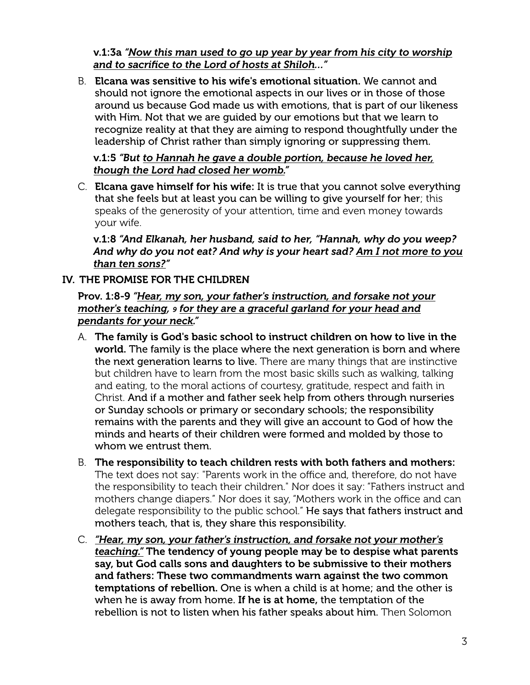v.1:3a *"Now this man used to go up year by year from his city to worship and to sacrifice to the Lord of hosts at Shiloh…"*

B. Elcana was sensitive to his wife's emotional situation. We cannot and should not ignore the emotional aspects in our lives or in those of those around us because God made us with emotions, that is part of our likeness with Him. Not that we are guided by our emotions but that we learn to recognize reality at that they are aiming to respond thoughtfully under the leadership of Christ rather than simply ignoring or suppressing them.

# v.1:5 *"But to Hannah he gave a double portion, because he loved her, though the Lord had closed her womb."*

C. Elcana gave himself for his wife: It is true that you cannot solve everything that she feels but at least you can be willing to give yourself for her; this speaks of the generosity of your attention, time and even money towards your wife.

v.1:8 *"And Elkanah, her husband, said to her, "Hannah, why do you weep? And why do you not eat? And why is your heart sad? Am I not more to you than ten sons?"*

# IV. THE PROMISE FOR THE CHILDREN

#### Prov. 1:8-9 *"Hear, my son, your father's instruction, and forsake not your mother's teaching, 9 for they are a graceful garland for your head and pendants for your neck."*

- A. The family is God's basic school to instruct children on how to live in the world. The family is the place where the next generation is born and where the next generation learns to live. There are many things that are instinctive but children have to learn from the most basic skills such as walking, talking and eating, to the moral actions of courtesy, gratitude, respect and faith in Christ. And if a mother and father seek help from others through nurseries or Sunday schools or primary or secondary schools; the responsibility remains with the parents and they will give an account to God of how the minds and hearts of their children were formed and molded by those to whom we entrust them.
- B. The responsibility to teach children rests with both fathers and mothers: The text does not say: "Parents work in the office and, therefore, do not have the responsibility to teach their children." Nor does it say: "Fathers instruct and mothers change diapers." Nor does it say, "Mothers work in the office and can delegate responsibility to the public school." He says that fathers instruct and mothers teach, that is, they share this responsibility.
- C. *"Hear, my son, your father's instruction, and forsake not your mother's teaching."* The tendency of young people may be to despise what parents say, but God calls sons and daughters to be submissive to their mothers and fathers: These two commandments warn against the two common temptations of rebellion. One is when a child is at home; and the other is when he is away from home. If he is at home, the temptation of the rebellion is not to listen when his father speaks about him. Then Solomon